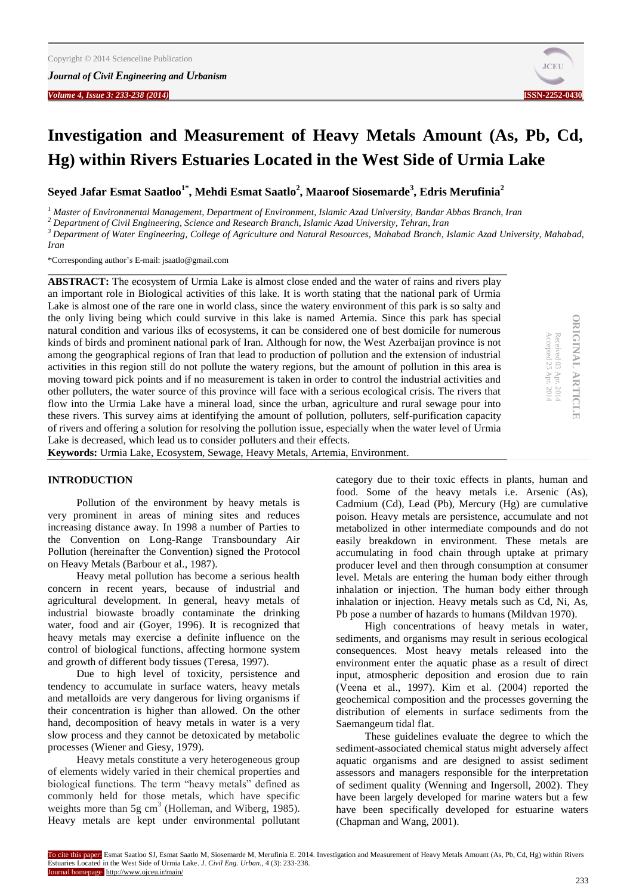*Volume 4, Issue 3: 233-238 (2014)* **ISSN-2252-0430**



**ORIGINAL ARTICLE**

**ORIGINAL ARTICLE** 

Received 03

Accepted 25

Apr. 2014 Apr. 2014

# **Investigation and Measurement of Heavy Metals Amount (As, Pb, Cd, Hg) within Rivers Estuaries Located in the West Side of Urmia Lake**

**Seyed Jafar Esmat Saatloo1\*, Mehdi Esmat Saatlo<sup>2</sup> , Maaroof Siosemarde<sup>3</sup> , Edris Merufinia<sup>2</sup>**

*<sup>1</sup> Master of Environmental Management, Department of Environment, Islamic Azad University, Bandar Abbas Branch, Iran*

*<sup>2</sup> Department of Civil Engineering, Science and Research Branch, Islamic Azad University, Tehran, Iran*

*<sup>3</sup> Department of Water Engineering, College of Agriculture and Natural Resources, Mahabad Branch, Islamic Azad University, Mahabad,* 

*Iran*

\*Corresponding author's E-mail: jsaatlo@gmail.com

**ABSTRACT:** The ecosystem of Urmia Lake is almost close ended and the water of rains and rivers play an important role in Biological activities of this lake. It is worth stating that the national park of Urmia Lake is almost one of the rare one in world class, since the watery environment of this park is so salty and the only living being which could survive in this lake is named Artemia. Since this park has special natural condition and various ilks of ecosystems, it can be considered one of best domicile for numerous kinds of birds and prominent national park of Iran. Although for now, the West Azerbaijan province is not among the geographical regions of Iran that lead to production of pollution and the extension of industrial activities in this region still do not pollute the watery regions, but the amount of pollution in this area is moving toward pick points and if no measurement is taken in order to control the industrial activities and other polluters, the water source of this province will face with a serious ecological crisis. The rivers that flow into the Urmia Lake have a mineral load, since the urban, agriculture and rural sewage pour into these rivers. This survey aims at identifying the amount of pollution, polluters, self-purification capacity of rivers and offering a solution for resolving the pollution issue, especially when the water level of Urmia Lake is decreased, which lead us to consider polluters and their effects.

**Keywords:** Urmia Lake, Ecosystem, Sewage, Heavy Metals, Artemia, Environment.

#### **INTRODUCTION**

Pollution of the environment by heavy metals is very prominent in areas of mining sites and reduces increasing distance away. In 1998 a number of Parties to the Convention on Long-Range Transboundary Air Pollution (hereinafter the Convention) signed the Protocol on Heavy Metals (Barbour et al., 1987).

Heavy metal pollution has become a serious health concern in recent years, because of industrial and agricultural development. In general, heavy metals of industrial biowaste broadly contaminate the drinking water, food and air (Goyer, 1996). It is recognized that heavy metals may exercise a definite influence on the control of biological functions, affecting hormone system and growth of different body tissues (Teresa, 1997).

Due to high level of toxicity, persistence and tendency to accumulate in surface waters, heavy metals and metalloids are very dangerous for living organisms if their concentration is higher than allowed. On the other hand, decomposition of heavy metals in water is a very slow process and they cannot be detoxicated by metabolic processes (Wiener and Giesy, 1979).

Heavy metals constitute a very heterogeneous group of elements widely varied in their chemical properties and biological functions. The term "heavy metals" defined as commonly held for those metals, which have specific weights more than  $5g \text{ cm}^3$  (Holleman, and Wiberg, 1985). Heavy metals are kept under environmental pollutant category due to their toxic effects in plants, human and food. Some of the heavy metals i.e. Arsenic (As), Cadmium (Cd), Lead (Pb), Mercury (Hg) are cumulative poison. Heavy metals are persistence, accumulate and not metabolized in other intermediate compounds and do not easily breakdown in environment. These metals are accumulating in food chain through uptake at primary producer level and then through consumption at consumer level. Metals are entering the human body either through inhalation or injection. The human body either through inhalation or injection. Heavy metals such as Cd, Ni, As, Pb pose a number of hazards to humans (Mildvan 1970).

High concentrations of heavy metals in water, sediments, and organisms may result in serious ecological consequences. Most heavy metals released into the environment enter the aquatic phase as a result of direct input, atmospheric deposition and erosion due to rain (Veena et al., 1997). Kim et al. (2004) reported the geochemical composition and the processes governing the distribution of elements in surface sediments from the Saemangeum tidal flat.

These guidelines evaluate the degree to which the sediment-associated chemical status might adversely affect aquatic organisms and are designed to assist sediment assessors and managers responsible for the interpretation of sediment quality (Wenning and Ingersoll, 2002). They have been largely developed for marine waters but a few have been specifically developed for estuarine waters (Chapman and Wang, 2001).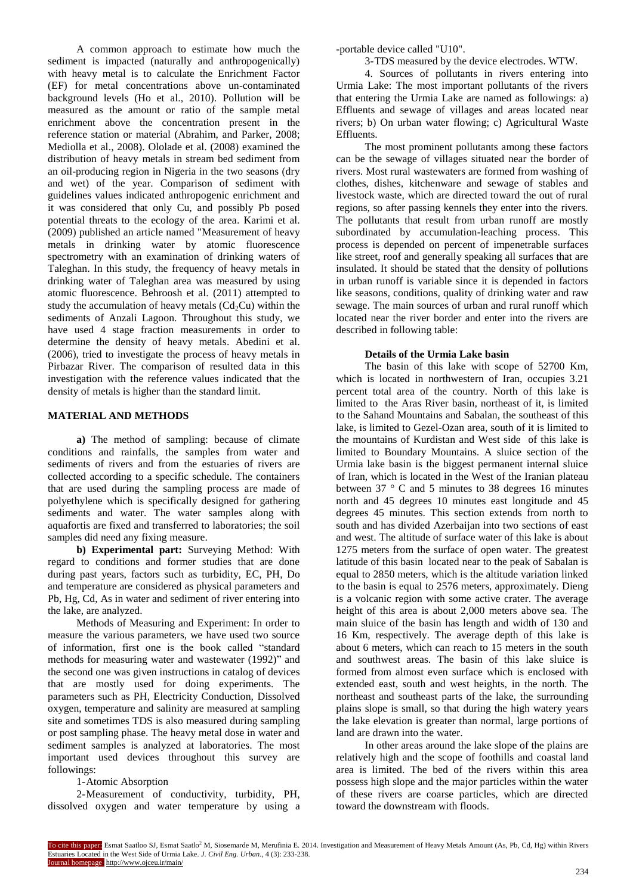A common approach to estimate how much the sediment is impacted (naturally and anthropogenically) with heavy metal is to calculate the Enrichment Factor (EF) for metal concentrations above un-contaminated background levels (Ho et al., 2010). Pollution will be measured as the amount or ratio of the sample metal enrichment above the concentration present in the reference station or material (Abrahim, and Parker, 2008; Mediolla et al., 2008). Ololade et al. (2008) examined the distribution of heavy metals in stream bed sediment from an oil-producing region in Nigeria in the two seasons (dry and wet) of the year. Comparison of sediment with guidelines values indicated anthropogenic enrichment and it was considered that only Cu, and possibly Pb posed potential threats to the ecology of the area. Karimi et al. (2009) published an article named "Measurement of heavy metals in drinking water by atomic fluorescence spectrometry with an examination of drinking waters of Taleghan. In this study, the frequency of heavy metals in drinking water of Taleghan area was measured by using atomic fluorescence. Behroosh et al. (2011) attempted to study the accumulation of heavy metals  $(Cd<sub>2</sub>Cu)$  within the sediments of Anzali Lagoon. Throughout this study, we have used 4 stage fraction measurements in order to determine the density of heavy metals. Abedini et al. (2006), tried to investigate the process of heavy metals in Pirbazar River. The comparison of resulted data in this investigation with the reference values indicated that the density of metals is higher than the standard limit.

## **MATERIAL AND METHODS**

**a)** The method of sampling: because of climate conditions and rainfalls, the samples from water and sediments of rivers and from the estuaries of rivers are collected according to a specific schedule. The containers that are used during the sampling process are made of polyethylene which is specifically designed for gathering sediments and water. The water samples along with aquafortis are fixed and transferred to laboratories; the soil samples did need any fixing measure.

**b) Experimental part:** Surveying Method: With regard to conditions and former studies that are done during past years, factors such as turbidity, EC, PH, Do and temperature are considered as physical parameters and Pb, Hg, Cd, As in water and sediment of river entering into the lake, are analyzed.

Methods of Measuring and Experiment: In order to measure the various parameters, we have used two source of information, first one is the book called "standard methods for measuring water and wastewater (1992)" and the second one was given instructions in catalog of devices that are mostly used for doing experiments. The parameters such as PH, Electricity Conduction, Dissolved oxygen, temperature and salinity are measured at sampling site and sometimes TDS is also measured during sampling or post sampling phase. The heavy metal dose in water and sediment samples is analyzed at laboratories. The most important used devices throughout this survey are followings:

# 1-Atomic Absorption

2-Measurement of conductivity, turbidity, PH, dissolved oxygen and water temperature by using a -portable device called "U10".

3-TDS measured by the device electrodes. WTW.

4. Sources of pollutants in rivers entering into Urmia Lake: The most important pollutants of the rivers that entering the Urmia Lake are named as followings: a) Effluents and sewage of villages and areas located near rivers; b) On urban water flowing; c) Agricultural Waste Effluents.

The most prominent pollutants among these factors can be the sewage of villages situated near the border of rivers. Most rural wastewaters are formed from washing of clothes, dishes, kitchenware and sewage of stables and livestock waste, which are directed toward the out of rural regions, so after passing kennels they enter into the rivers. The pollutants that result from urban runoff are mostly subordinated by accumulation-leaching process. This process is depended on percent of impenetrable surfaces like street, roof and generally speaking all surfaces that are insulated. It should be stated that the density of pollutions in urban runoff is variable since it is depended in factors like seasons, conditions, quality of drinking water and raw sewage. The main sources of urban and rural runoff which located near the river border and enter into the rivers are described in following table:

## **Details of the Urmia Lake basin**

The basin of this lake with scope of 52700 Km, which is located in northwestern of Iran, occupies 3.21 percent total area of the country. North of this lake is limited to the Aras River basin, northeast of it, is limited to the Sahand Mountains and Sabalan, the southeast of this lake, is limited to Gezel-Ozan area, south of it is limited to the mountains of Kurdistan and West side of this lake is limited to Boundary Mountains. A sluice section of the Urmia lake basin is the biggest permanent internal sluice of Iran, which is located in the West of the Iranian plateau between 37 ° C and 5 minutes to 38 degrees 16 minutes north and 45 degrees 10 minutes east longitude and 45 degrees 45 minutes. This section extends from north to south and has divided Azerbaijan into two sections of east and west. The altitude of surface water of this lake is about 1275 meters from the surface of open water. The greatest latitude of this basin located near to the peak of Sabalan is equal to 2850 meters, which is the altitude variation linked to the basin is equal to 2576 meters, approximately. Dieng is a volcanic region with some active crater. The average height of this area is about 2,000 meters above sea. The main sluice of the basin has length and width of 130 and 16 Km, respectively. The average depth of this lake is about 6 meters, which can reach to 15 meters in the south and southwest areas. The basin of this lake sluice is formed from almost even surface which is enclosed with extended east, south and west heights, in the north. The northeast and southeast parts of the lake, the surrounding plains slope is small, so that during the high watery years the lake elevation is greater than normal, large portions of land are drawn into the water.

In other areas around the lake slope of the plains are relatively high and the scope of foothills and coastal land area is limited. The bed of the rivers within this area possess high slope and the major particles within the water of these rivers are coarse particles, which are directed toward the downstream with floods.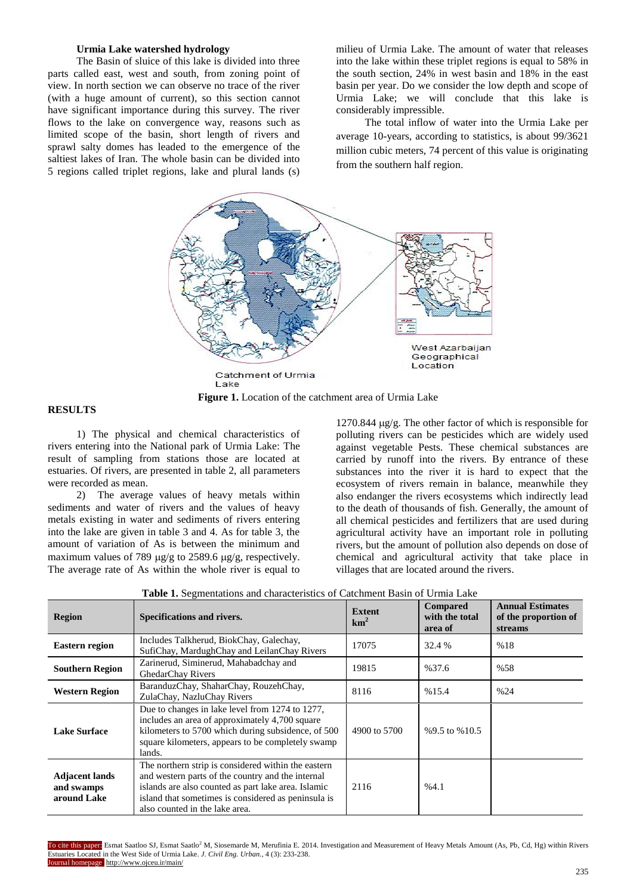#### **Urmia Lake watershed hydrology**

The Basin of sluice of this lake is divided into three parts called east, west and south, from zoning point of view. In north section we can observe no trace of the river (with a huge amount of current), so this section cannot have significant importance during this survey. The river flows to the lake on convergence way, reasons such as limited scope of the basin, short length of rivers and sprawl salty domes has leaded to the emergence of the saltiest lakes of Iran. The whole basin can be divided into 5 regions called triplet regions, lake and plural lands (s)

milieu of Urmia Lake. The amount of water that releases into the lake within these triplet regions is equal to 58% in the south section, 24% in west basin and 18% in the east basin per year. Do we consider the low depth and scope of Urmia Lake; we will conclude that this lake is considerably impressible.

The total inflow of water into the Urmia Lake per average 10-years, according to statistics, is about 99/3621 million cubic meters, 74 percent of this value is originating from the southern half region.



**Figure 1.** Location of the catchment area of Urmia Lake

### **RESULTS**

1) The physical and chemical characteristics of rivers entering into the National park of Urmia Lake: The result of sampling from stations those are located at estuaries. Of rivers, are presented in table 2, all parameters were recorded as mean.

2) The average values of heavy metals within sediments and water of rivers and the values of heavy metals existing in water and sediments of rivers entering into the lake are given in table 3 and 4. As for table 3, the amount of variation of As is between the minimum and maximum values of 789  $\mu$ g/g to 2589.6  $\mu$ g/g, respectively. The average rate of As within the whole river is equal to

1270.844  $\mu$ g/g. The other factor of which is responsible for polluting rivers can be pesticides which are widely used against vegetable Pests. These chemical substances are carried by runoff into the rivers. By entrance of these substances into the river it is hard to expect that the ecosystem of rivers remain in balance, meanwhile they also endanger the rivers ecosystems which indirectly lead to the death of thousands of fish. Generally, the amount of all chemical pesticides and fertilizers that are used during agricultural activity have an important role in polluting rivers, but the amount of pollution also depends on dose of chemical and agricultural activity that take place in villages that are located around the rivers.

| <b>Region</b>                                                                                                                                                                                                                                                                                                  | Specifications and rivers.                                                                                                                                                                                             | <b>Extent</b><br>km <sup>2</sup> | <b>Compared</b><br>with the total<br>area of | <b>Annual Estimates</b><br>of the proportion of<br>streams |
|----------------------------------------------------------------------------------------------------------------------------------------------------------------------------------------------------------------------------------------------------------------------------------------------------------------|------------------------------------------------------------------------------------------------------------------------------------------------------------------------------------------------------------------------|----------------------------------|----------------------------------------------|------------------------------------------------------------|
| <b>Eastern region</b>                                                                                                                                                                                                                                                                                          | Includes Talkherud, BiokChay, Galechay,<br>SufiChay, MardughChay and LeilanChay Rivers                                                                                                                                 | 17075                            | 32.4 %                                       | %18                                                        |
| <b>Southern Region</b>                                                                                                                                                                                                                                                                                         | Zarinerud, Siminerud, Mahabadchay and<br>GhedarChay Rivers                                                                                                                                                             | 19815                            | %37.6                                        | %58                                                        |
| <b>Western Region</b>                                                                                                                                                                                                                                                                                          | BaranduzChay, ShaharChay, RouzehChay,<br>ZulaChay, NazluChay Rivers                                                                                                                                                    | 8116                             | %15.4                                        | %24                                                        |
| <b>Lake Surface</b>                                                                                                                                                                                                                                                                                            | Due to changes in lake level from 1274 to 1277,<br>includes an area of approximately 4,700 square<br>kilometers to 5700 which during subsidence, of 500<br>square kilometers, appears to be completely swamp<br>lands. | 4900 to 5700                     | %9.5 to %10.5                                |                                                            |
| The northern strip is considered within the eastern<br>and western parts of the country and the internal<br><b>Adjacent lands</b><br>islands are also counted as part lake area. Islamic<br>and swamps<br>island that sometimes is considered as peninsula is<br>around Lake<br>also counted in the lake area. |                                                                                                                                                                                                                        | 2116                             | %4.1                                         |                                                            |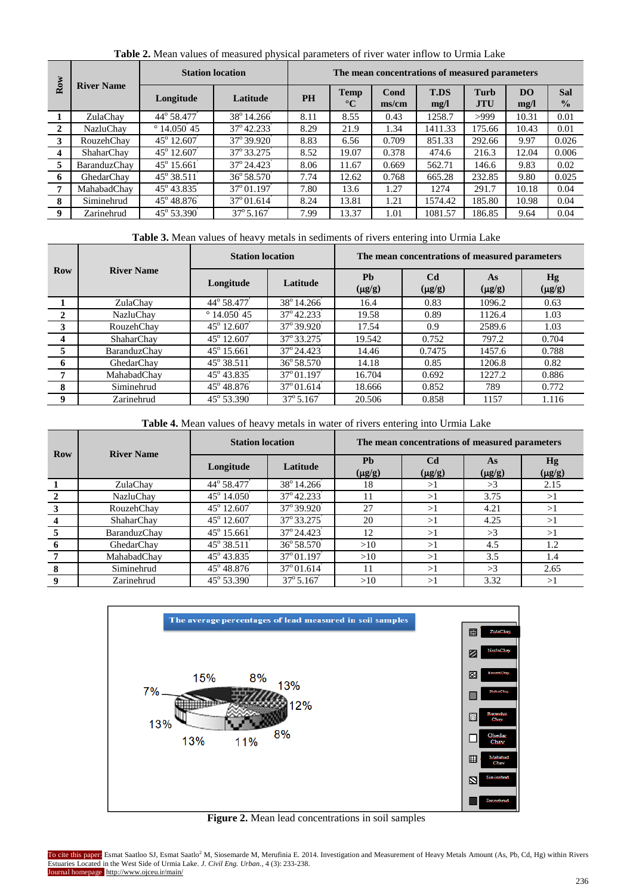| Row                     | <b>River Name</b> | <b>Station location</b> |                               | The mean concentrations of measured parameters |                         |               |                     |                           |                   |                      |
|-------------------------|-------------------|-------------------------|-------------------------------|------------------------------------------------|-------------------------|---------------|---------------------|---------------------------|-------------------|----------------------|
|                         |                   | Longitude               | Latitude                      | <b>PH</b>                                      | Temp<br>$\rm ^{\circ}C$ | Cond<br>ms/cm | <b>T.DS</b><br>mg/l | <b>Turb</b><br><b>JTU</b> | <b>DO</b><br>mg/l | Sal<br>$\frac{0}{0}$ |
|                         | ZulaChay          | 44° 58.477              | $\frac{1}{38^{\circ}}$ 14.266 | 8.11                                           | 8.55                    | 0.43          | 1258.7              | >999                      | 10.31             | 0.01                 |
| $\mathbf{2}$            | <b>NazluChav</b>  | $^{\circ}$ 14.050 45    | 37° 42.233                    | 8.29                                           | 21.9                    | 1.34          | 1411.33             | 175.66                    | 10.43             | 0.01                 |
| 3                       | RouzehChay        | 45° 12.607              | 37° 39.920                    | 8.83                                           | 6.56                    | 0.709         | 851.33              | 292.66                    | 9.97              | 0.026                |
| $\overline{\mathbf{4}}$ | ShaharChay        | 45° 12.607              | 37° 33.275                    | 8.52                                           | 19.07                   | 0.378         | 474.6               | 216.3                     | 12.04             | 0.006                |
| 5                       | BaranduzChav      | $45^{\circ} 15.661$     | 37° 24.423                    | 8.06                                           | 11.67                   | 0.669         | 562.71              | 146.6                     | 9.83              | 0.02                 |
| 6                       | GhedarChav        | 45° 38.511              | 36° 58.570                    | 7.74                                           | 12.62                   | 0.768         | 665.28              | 232.85                    | 9.80              | 0.025                |
| 7                       | MahabadChay       | 45° 43.835              | $37^{\circ}01.197$            | 7.80                                           | 13.6                    | 1.27          | 1274                | 291.7                     | 10.18             | 0.04                 |
| 8                       | Siminehrud        | 45° 48.876              | $37^{\circ}01.614$            | 8.24                                           | 13.81                   | 1.21          | 1574.42             | 185.80                    | 10.98             | 0.04                 |
| 9                       | Zarinehrud        | 45° 53.390              | $37^{\circ}5.167$             | 7.99                                           | 13.37                   | 1.01          | 1081.57             | 186.85                    | 9.64              | 0.04                 |

**Table 2.** Mean values of measured physical parameters of river water inflow to Urmia Lake

|                | <b>River Name</b> | <b>Station location</b> |                               | The mean concentrations of measured parameters |                               |                   |                          |  |
|----------------|-------------------|-------------------------|-------------------------------|------------------------------------------------|-------------------------------|-------------------|--------------------------|--|
| <b>Row</b>     |                   | Longitude               | Latitude                      | <b>Ph</b><br>$(\mu g/g)$                       | C <sub>d</sub><br>$(\mu g/g)$ | As<br>$(\mu g/g)$ | <b>Hg</b><br>$(\mu g/g)$ |  |
|                | ZulaChay          | 44° 58.477              | $\frac{1}{38^{\circ}}$ 14.266 | 16.4                                           | 0.83                          | 1096.2            | 0.63                     |  |
| $\mathbf{2}$   | NazluChay         | $^{\circ}$ 14.050 45    | 37° 42.233                    | 19.58                                          | 0.89                          | 1126.4            | 1.03                     |  |
| 3              | RouzehChay        | $45^{\circ}$ 12.607     | 37° 39.920                    | 17.54                                          | 0.9                           | 2589.6            | 1.03                     |  |
| $\overline{4}$ | <b>ShaharChav</b> | 45° 12.607              | 37° 33.275                    | 19.542                                         | 0.752                         | 797.2             | 0.704                    |  |
| 5              | BaranduzChay      | $45^{\circ} 15.661$     | 37° 24.423                    | 14.46                                          | 0.7475                        | 1457.6            | 0.788                    |  |
| 6              | GhedarChay        | $45^{\circ} 38.511$     | 36° 58.570                    | 14.18                                          | 0.85                          | 1206.8            | 0.82                     |  |
| 7              | MahabadChav       | 45° 43.835              | $37^{\circ}01.197$            | 16.704                                         | 0.692                         | 1227.2            | 0.886                    |  |
| 8              | Siminehrud        | $45^{\circ}$ 48.876     | $37^{\circ}01.614$            | 18.666                                         | 0.852                         | 789               | 0.772                    |  |
| 9              | Zarinehrud        | 45° 53.390              | $37^{\circ} 5.167$            | 20.506                                         | 0.858                         | 1157              | 1.116                    |  |

**Table 4.** Mean values of heavy metals in water of rivers entering into Urmia Lake

| <b>Row</b> | <b>River Name</b> | <b>Station location</b> |                     | The mean concentrations of measured parameters |                               |                   |                   |  |
|------------|-------------------|-------------------------|---------------------|------------------------------------------------|-------------------------------|-------------------|-------------------|--|
|            |                   | Longitude               | Latitude            | <b>Ph</b><br>$(\mu g/g)$                       | C <sub>d</sub><br>$(\mu g/g)$ | As<br>$(\mu g/g)$ | Hg<br>$(\mu g/g)$ |  |
|            | ZulaChay          | 44° 58.477              | 38° 14.266          | 18                                             | >1                            | >3                | 2.15              |  |
|            | NazluChay         | $45^{\circ}$ 14.050     | 37° 42.233          | 11                                             | >1                            | 3.75              | >1                |  |
|            | RouzehChav        | 45° 12.607              | 37° 39.920          | 27                                             | >1                            | 4.21              | >1                |  |
|            | ShaharChay        | 45° 12.607              | 37° 33.275          | 20                                             | >1                            | 4.25              | >1                |  |
| 5          | BaranduzChay      | $45^{\circ}$ 15.661     | 37° 24.423          | 12                                             | >1                            | >3                | >1                |  |
| 6          | GhedarChay        | 45° 38.511              | $36^{\circ} 58.570$ | >10                                            | >1                            | 4.5               | 1.2               |  |
|            | MahabadChay       | $45^{\circ} 43.835$     | 37° 01.197          | >10                                            | >1                            | 3.5               | 1.4               |  |
| 8          | Siminehrud        | 45° 48.876              | $37^{\circ}01.614$  | 11                                             | >1                            | >3                | 2.65              |  |
| 9          | Zarinehrud        | 45° 53.390              | $37^{\circ}5.167$   | >10                                            | >1                            | 3.32              | >1                |  |



**Figure 2.** Mean lead concentrations in soil samples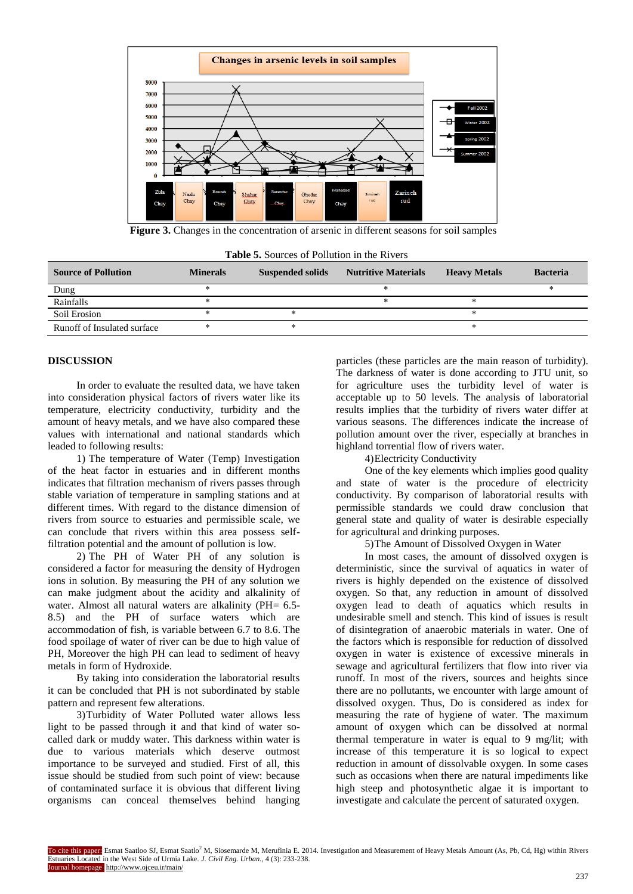

**Figure 3.** Changes in the concentration of arsenic in different seasons for soil samples

|  | <b>Table 5.</b> Sources of Pollution in the Rivers |  |
|--|----------------------------------------------------|--|
|  |                                                    |  |

| <b>Source of Pollution</b>  | <b>Minerals</b> | <b>Suspended solids</b> | <b>Nutritive Materials</b> | <b>Heavy Metals</b> | <b>Bacteria</b> |
|-----------------------------|-----------------|-------------------------|----------------------------|---------------------|-----------------|
| Dung                        |                 |                         |                            |                     |                 |
| Rainfalls                   |                 |                         |                            |                     |                 |
| Soil Erosion                |                 |                         |                            |                     |                 |
| Runoff of Insulated surface |                 |                         |                            |                     |                 |

## **DISCUSSION**

In order to evaluate the resulted data, we have taken into consideration physical factors of rivers water like its temperature, electricity conductivity, turbidity and the amount of heavy metals, and we have also compared these values with international and national standards which leaded to following results:

1) The temperature of Water (Temp) Investigation of the heat factor in estuaries and in different months indicates that filtration mechanism of rivers passes through stable variation of temperature in sampling stations and at different times. With regard to the distance dimension of rivers from source to estuaries and permissible scale, we can conclude that rivers within this area possess selffiltration potential and the amount of pollution is low.

2) The PH of Water PH of any solution is considered a factor for measuring the density of Hydrogen ions in solution. By measuring the PH of any solution we can make judgment about the acidity and alkalinity of water. Almost all natural waters are alkalinity (PH= 6.5-8.5) and the PH of surface waters which are accommodation of fish, is variable between 6.7 to 8.6. The food spoilage of water of river can be due to high value of PH, Moreover the high PH can lead to sediment of heavy metals in form of Hydroxide.

By taking into consideration the laboratorial results it can be concluded that PH is not subordinated by stable pattern and represent few alterations.

3)Turbidity of Water Polluted water allows less light to be passed through it and that kind of water socalled dark or muddy water. This darkness within water is due to various materials which deserve outmost importance to be surveyed and studied. First of all, this issue should be studied from such point of view: because of contaminated surface it is obvious that different living organisms can conceal themselves behind hanging

particles (these particles are the main reason of turbidity). The darkness of water is done according to JTU unit, so for agriculture uses the turbidity level of water is acceptable up to 50 levels. The analysis of laboratorial results implies that the turbidity of rivers water differ at various seasons. The differences indicate the increase of pollution amount over the river, especially at branches in highland torrential flow of rivers water.

# 4)Electricity Conductivity

One of the key elements which implies good quality and state of water is the procedure of electricity conductivity. By comparison of laboratorial results with permissible standards we could draw conclusion that general state and quality of water is desirable especially for agricultural and drinking purposes.

5)The Amount of Dissolved Oxygen in Water

In most cases, the amount of dissolved oxygen is deterministic, since the survival of aquatics in water of rivers is highly depended on the existence of dissolved oxygen. So that, any reduction in amount of dissolved oxygen lead to death of aquatics which results in undesirable smell and stench. This kind of issues is result of disintegration of anaerobic materials in water. One of the factors which is responsible for reduction of dissolved oxygen in water is existence of excessive minerals in sewage and agricultural fertilizers that flow into river via runoff. In most of the rivers, sources and heights since there are no pollutants, we encounter with large amount of dissolved oxygen. Thus, Do is considered as index for measuring the rate of hygiene of water. The maximum amount of oxygen which can be dissolved at normal thermal temperature in water is equal to 9 mg/lit; with increase of this temperature it is so logical to expect reduction in amount of dissolvable oxygen. In some cases such as occasions when there are natural impediments like high steep and photosynthetic algae it is important to investigate and calculate the percent of saturated oxygen.

To cite this paper: Esmat Saatloo SJ, Esmat Saatlo<sup>2</sup> M, Siosemarde M, Merufinia E. 2014. Investigation and Measurement of Heavy Metals Amount (As, Pb, Cd, Hg) within Rivers Estuaries Located in the West Side of Urmia Lake. *J. Civil Eng. Urban.,* 4 (3): 233-238. ournal homepage: http://www.ojceu.ir/main/